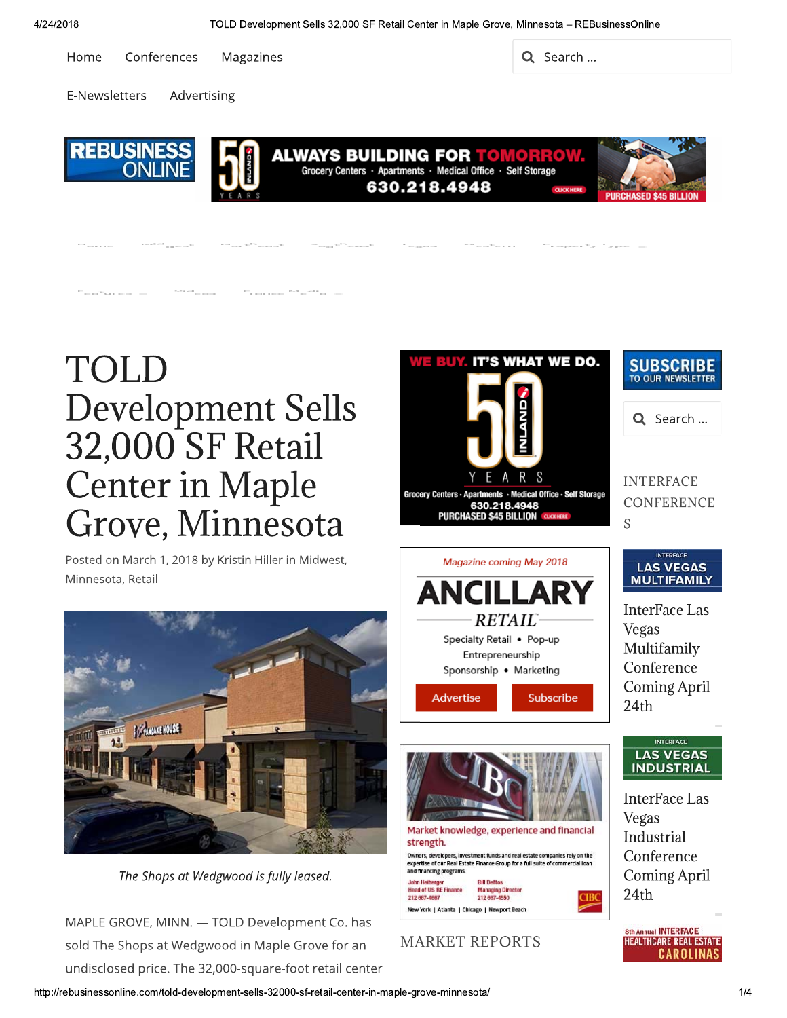Home Conferences Magazines  $\mathcal{L}$  Search ...

E-Newsletters Advertising



# TOLD Development Sells 32,000 SF Retail **Center in Maple** Grove, Minnesota

Posted on March 1, 2018 by Kristin Hiller in Midwest, Minnesota, Retail



The Shops at Wedgwood is fully leased.

MAPLE GROVE, MINN. — TOLI<br>sold The Shops at Wedgwood<br>undisclosed price. The 32,000-<br>http://rebusinessonline.com/told-development MAPLE GROVE, MINN. - TOLD Development Co. has sold The Shops at Wedgwood in Maple Grove for an undisclosed price. The 32,000-square-foot retail center

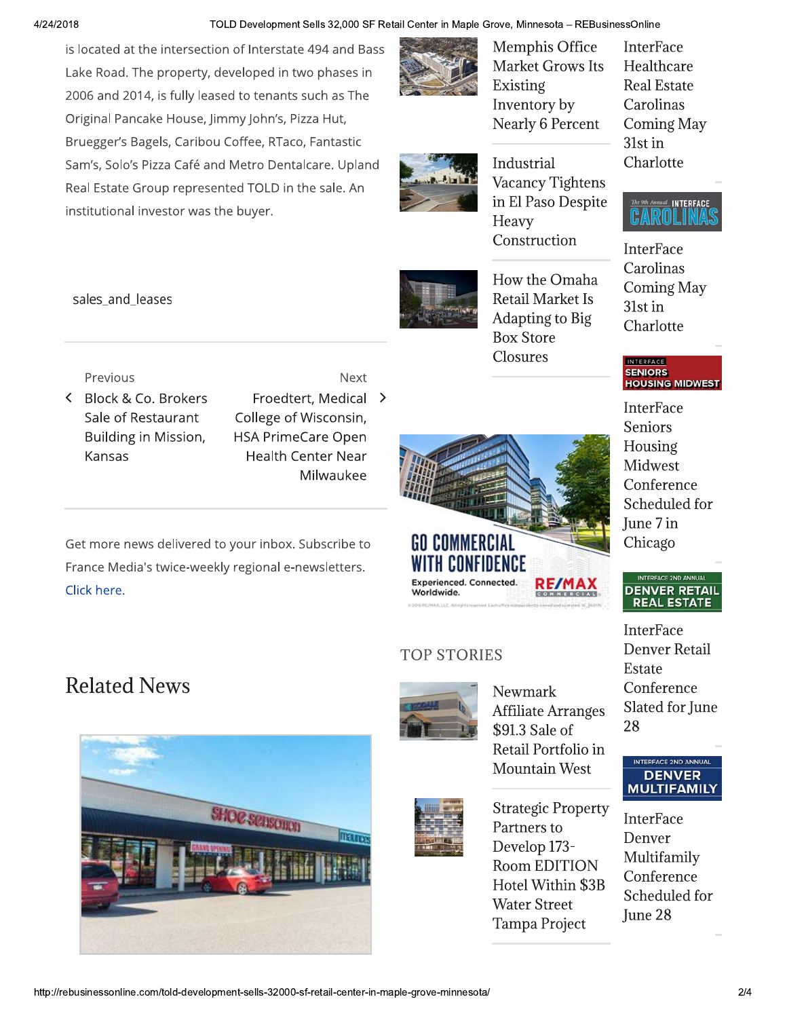#### TOLD Development Sells 32,000 SF Retail Center in Maple Grove, Minnesota - REBusinessOnline

is located at the intersection of Interstate 494 and Bass Lake Road. The property, developed in two phases in 2006 and 2014, is fully leased to tenants such as The Original Pancake House, Jimmy John's, Pizza Hut, Bruegger's Bagels, Caribou Coffee, RTaco, Fantastic Sam's, Solo's Pizza Café and Metro Dentalcare. Upland Real Estate Group represented TOLD in the sale. An institutional investor was the buyer.





**GO COMMERCIAL** 

WITH CONFIDENCE

**Experienced. Connected** 

**TOP STORIES** 

Worldwide

**Market Grows Its** Existing Inventory by **Nearly 6 Percent** 

Memphis Office

Industrial Vacancy Tightens in El Paso Despite Heavy Construction

How the Omaha **Retail Market Is** Adapting to Big **Box Store Closures** 

**RE/MA** 

Newmark

\$91.3 Sale of

Partners to

Develop 173-

**Water Street** 

Tampa Project

**Room EDITION** 

Hotel Within \$3B

**Affiliate Arranges** 

Retail Portfolio in

**Strategic Property** 

**Mountain West** 

**InterFace** Healthcare **Real Estate** Carolinas **Coming May** 31st in Charlotte



**InterFace** Carolinas **Coming May** 31st in Charlotte

INTERFACE SENIORS<br>HOUSING MIDWEST

**InterFace** Seniors Housing **Midwest** Conference Scheduled for June 7 in Chicago

#### INTERFACE 2ND ANNUAL **DENVER RETAIL REAL ESTATE**

**InterFace** Denver Retail Estate Conference Slated for June 28

### **INTERFACE 2ND ANNUA DENVER MULTIFAMILY**

**InterFace** Denver Multifamily Conference Scheduled for June 28

# Previous

sales\_and\_leases

- < Block & Co. Brokers Sale of Restaurant Building in Mission, Kansas
- Next Froedtert, Medical > College of Wisconsin, **HSA PrimeCare Open Health Center Near** Milwaukee

Get more news delivered to your inbox. Subscribe to France Media's twice-weekly regional e-newsletters. Click here.

## **Related News**

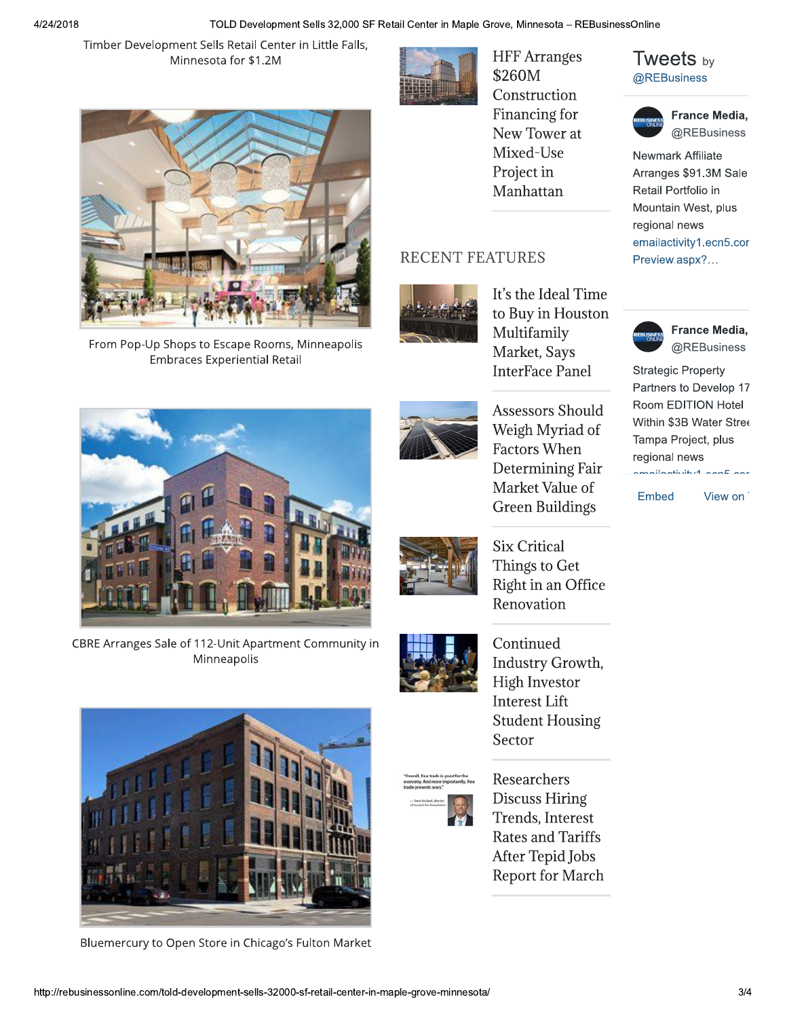Timber Development Sells Retail Center in Little Falls, Minnesota for \$1.2M



**HFF** Arranges \$260M Construction Financing for New Tower at Mixed-Use Project in Manhattan

### **RECENT FEATURES**



It's the Ideal Time to Buy in Houston Multifamily Market, Says **InterFace Panel** 

**Assessors Should** Weigh Myriad of **Factors When** Determining Fair Market Value of **Green Buildings** 

**Six Critical** Things to Get Right in an Office Renovation



Continued Industry Growth, **High Investor Interest Lift Student Housing** Sector



Researchers **Discuss Hiring** Trends, Interest **Rates and Tariffs** After Tepid Jobs **Report for March** 

### **Tweets** by @REBusiness



France Media, @REBusiness

Newmark Affiliate Arranges \$91.3M Sale Retail Portfolio in Mountain West, plus regional news emailactivity1.ecn5.cor Preview.aspx?...



France Media, @REBusiness

**Strategic Property** Partners to Develop 17 Room EDITION Hotel Within \$3B Water Stree Tampa Project, plus regional news amailaativitud aanEaar

Embed

View on



From Pop-Up Shops to Escape Rooms, Minneapolis **Embraces Experiential Retail** 



CBRE Arranges Sale of 112-Unit Apartment Community in Minneapolis



Bluemercury to Open Store in Chicago's Fulton Market